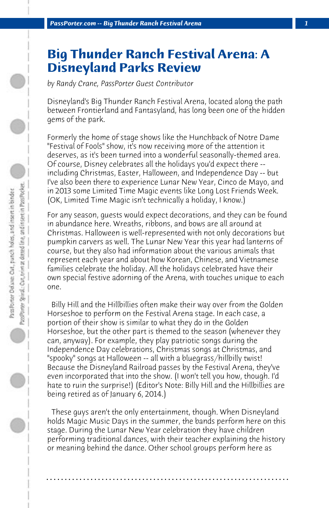## **Big Thunder Ranch Festival Arena: A Disneyland Parks Review**

*by Randy Crane, PassPorter Guest Contributor*

Disneyland's Big Thunder Ranch Festival Arena, located along the path between Frontierland and Fantasyland, has long been one of the hidden gems of the park.

Formerly the home of stage shows like the Hunchback of Notre Dame "Festival of Fools" show, it's now receiving more of the attention it deserves, as it's been turned into a wonderful seasonally-themed area. Of course, Disney celebrates all the holidays you'd expect there - including Christmas, Easter, Halloween, and Independence Day -- but I've also been there to experience Lunar New Year, Cinco de Mayo, and in 2013 some Limited Time Magic events like Long Lost Friends Week. (OK, Limited Time Magic isn't technically a holiday, I know.)

For any season, guests would expect decorations, and they can be found in abundance here. Wreaths, ribbons, and bows are all around at Christmas. Halloween is well-represented with not only decorations but pumpkin carvers as well. The Lunar New Year this year had lanterns of course, but they also had information about the various animals that represent each year and about how Korean, Chinese, and Vietnamese families celebrate the holiday. All the holidays celebrated have their own special festive adorning of the Arena, with touches unique to each one.

 Billy Hill and the Hillbillies often make their way over from the Golden Horseshoe to perform on the Festival Arena stage. In each case, a portion of their show is similar to what they do in the Golden Horseshoe, but the other part is themed to the season (whenever they can, anyway). For example, they play patriotic songs during the Independence Day celebrations, Christmas songs at Christmas, and "spooky" songs at Halloween -- all with a bluegrass/hillbilly twist! Because the Disneyland Railroad passes by the Festival Arena, they've even incorporated that into the show. (I won't tell you how, though. I'd hate to ruin the surprise!) (Editor's Note: Billy Hill and the Hillbillies are being retired as of January 6, 2014.)

 These guys aren't the only entertainment, though. When Disneyland holds Magic Music Days in the summer, the bands perform here on this stage. During the Lunar New Year celebration they have children performing traditional dances, with their teacher explaining the history or meaning behind the dance. Other school groups perform here as

**. . . . . . . . . . . . . . . . . . . . . . . . . . . . . . . . . . . . . . . . . . . . . . . . . . . . . . . . . . . . . . . . . .**

PassPorter Delaxe: Out, panch holes, and insert in binder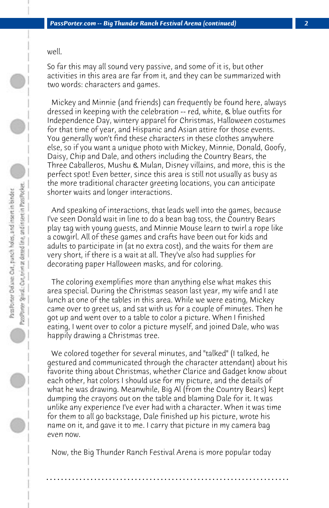well.

So far this may all sound very passive, and some of it is, but other activities in this area are far from it, and they can be summarized with two words: characters and games.

 Mickey and Minnie (and friends) can frequently be found here, always dressed in keeping with the celebration -- red, white, & blue outfits for Independence Day, wintery apparel for Christmas, Halloween costumes for that time of year, and Hispanic and Asian attire for those events. You generally won't find these characters in these clothes anywhere else, so if you want a unique photo with Mickey, Minnie, Donald, Goofy, Daisy, Chip and Dale, and others including the Country Bears, the Three Caballeros, Mushu & Mulan, Disney villains, and more, this is the perfect spot! Even better, since this area is still not usually as busy as the more traditional character greeting locations, you can anticipate shorter waits and longer interactions.

 And speaking of interactions, that leads well into the games, because I've seen Donald wait in line to do a bean bag toss, the Country Bears play tag with young guests, and Minnie Mouse learn to twirl a rope like a cowgirl. All of these games and crafts have been out for kids and adults to participate in (at no extra cost), and the waits for them are very short, if there is a wait at all. They've also had supplies for decorating paper Halloween masks, and for coloring.

 The coloring exemplifies more than anything else what makes this area special. During the Christmas season last year, my wife and I ate lunch at one of the tables in this area. While we were eating, Mickey came over to greet us, and sat with us for a couple of minutes. Then he got up and went over to a table to color a picture. When I finished eating, I went over to color a picture myself, and joined Dale, who was happily drawing a Christmas tree.

 We colored together for several minutes, and "talked" (I talked, he gestured and communicated through the character attendant) about his favorite thing about Christmas, whether Clarice and Gadget know about each other, hat colors I should use for my picture, and the details of what he was drawing. Meanwhile, Big Al (from the Country Bears) kept dumping the crayons out on the table and blaming Dale for it. It was unlike any experience I've ever had with a character. When it was time for them to all go backstage, Dale finished up his picture, wrote his name on it, and gave it to me. I carry that picture in my camera bag even now.

 Now, the Big Thunder Ranch Festival Arena is more popular today

**. . . . . . . . . . . . . . . . . . . . . . . . . . . . . . . . . . . . . . . . . . . . . . . . . . . . . . . . . . . . . . . . . .**